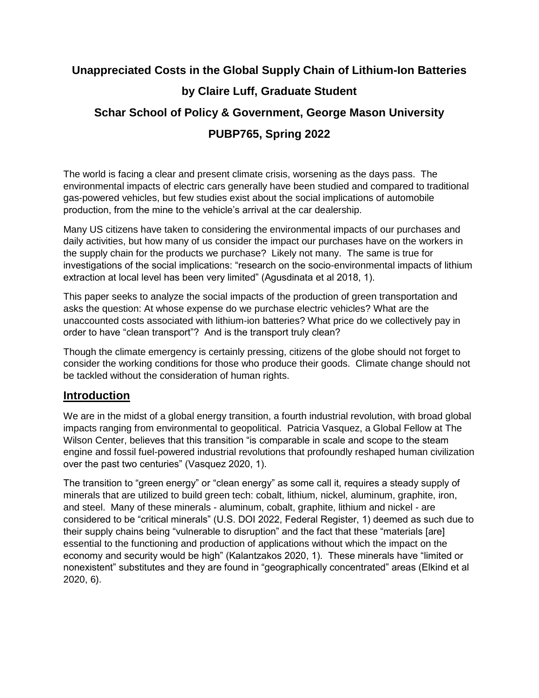# **Unappreciated Costs in the Global Supply Chain of Lithium-Ion Batteries by Claire Luff, Graduate Student Schar School of Policy & Government, George Mason University PUBP765, Spring 2022**

The world is facing a clear and present climate crisis, worsening as the days pass. The environmental impacts of electric cars generally have been studied and compared to traditional gas-powered vehicles, but few studies exist about the social implications of automobile production, from the mine to the vehicle's arrival at the car dealership.

Many US citizens have taken to considering the environmental impacts of our purchases and daily activities, but how many of us consider the impact our purchases have on the workers in the supply chain for the products we purchase? Likely not many. The same is true for investigations of the social implications: "research on the socio-environmental impacts of lithium extraction at local level has been very limited" (Agusdinata et al 2018, 1).

This paper seeks to analyze the social impacts of the production of green transportation and asks the question: At whose expense do we purchase electric vehicles? What are the unaccounted costs associated with lithium-ion batteries? What price do we collectively pay in order to have "clean transport"? And is the transport truly clean?

Though the climate emergency is certainly pressing, citizens of the globe should not forget to consider the working conditions for those who produce their goods. Climate change should not be tackled without the consideration of human rights.

# **Introduction**

We are in the midst of a global energy transition, a fourth industrial revolution, with broad global impacts ranging from environmental to geopolitical. Patricia Vasquez, a Global Fellow at The Wilson Center, believes that this transition "is comparable in scale and scope to the steam engine and fossil fuel-powered industrial revolutions that profoundly reshaped human civilization over the past two centuries" (Vasquez 2020, 1).

The transition to "green energy" or "clean energy" as some call it, requires a steady supply of minerals that are utilized to build green tech: cobalt, lithium, nickel, aluminum, graphite, iron, and steel. Many of these minerals - aluminum, cobalt, graphite, lithium and nickel - are considered to be "critical minerals" (U.S. DOI 2022, Federal Register, 1) deemed as such due to their supply chains being "vulnerable to disruption" and the fact that these "materials [are] essential to the functioning and production of applications without which the impact on the economy and security would be high" (Kalantzakos 2020, 1). These minerals have "limited or nonexistent" substitutes and they are found in "geographically concentrated" areas (Elkind et al 2020, 6).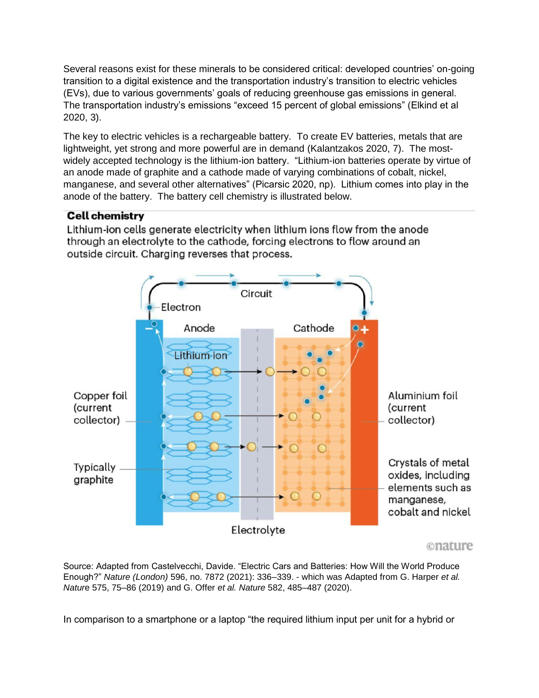Several reasons exist for these minerals to be considered critical: developed countries' on-going transition to a digital existence and the transportation industry's transition to electric vehicles (EVs), due to various governments' goals of reducing greenhouse gas emissions in general. The transportation industry's emissions "exceed 15 percent of global emissions" (Elkind et al 2020, 3).

The key to electric vehicles is a rechargeable battery. To create EV batteries, metals that are lightweight, yet strong and more powerful are in demand (Kalantzakos 2020, 7). The mostwidely accepted technology is the lithium-ion battery. "Lithium-ion batteries operate by virtue of an anode made of graphite and a cathode made of varying combinations of cobalt, nickel, manganese, and several other alternatives" (Picarsic 2020, np). Lithium comes into play in the anode of the battery. The battery cell chemistry is illustrated below.

# **Cell chemistry**

Lithium-ion cells generate electricity when lithium ions flow from the anode through an electrolyte to the cathode, forcing electrons to flow around an outside circuit. Charging reverses that process.



Source: Adapted from Castelvecchi, Davide. "Electric Cars and Batteries: How Will the World Produce Enough?" *Nature (London)* 596, no. 7872 (2021): 336–339. - which was Adapted from G. Harper *et al.* 

In comparison to a smartphone or a laptop "the required lithium input per unit for a hybrid or

*Natur*e 575, 75–86 (2019) and G. Offer *et al. Nature* 582, 485–487 (2020).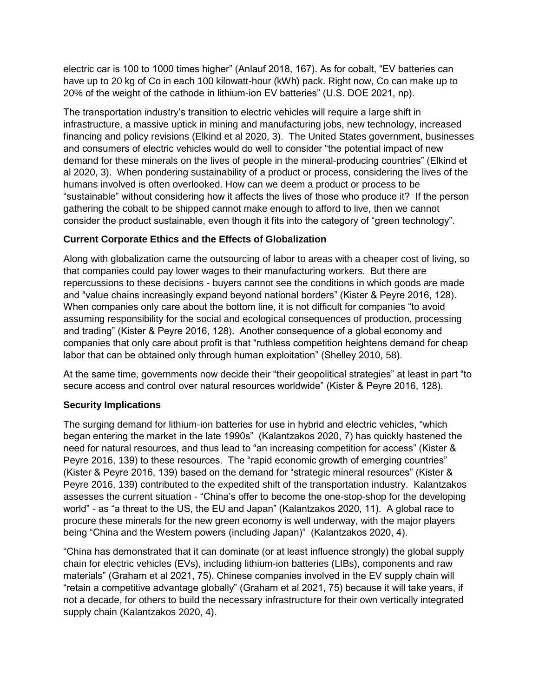electric car is 100 to 1000 times higher" (Anlauf 2018, 167). As for cobalt, "EV batteries can have up to 20 kg of Co in each 100 kilowatt-hour (kWh) pack. Right now, Co can make up to 20% of the weight of the cathode in lithium-ion EV batteries" (U.S. DOE 2021, np).

The transportation industry's transition to electric vehicles will require a large shift in infrastructure, a massive uptick in mining and manufacturing jobs, new technology, increased financing and policy revisions (Elkind et al 2020, 3). The United States government, businesses and consumers of electric vehicles would do well to consider "the potential impact of new demand for these minerals on the lives of people in the mineral-producing countries" (Elkind et al 2020, 3). When pondering sustainability of a product or process, considering the lives of the humans involved is often overlooked. How can we deem a product or process to be "sustainable" without considering how it affects the lives of those who produce it? If the person gathering the cobalt to be shipped cannot make enough to afford to live, then we cannot consider the product sustainable, even though it fits into the category of "green technology".

## **Current Corporate Ethics and the Effects of Globalization**

Along with globalization came the outsourcing of labor to areas with a cheaper cost of living, so that companies could pay lower wages to their manufacturing workers. But there are repercussions to these decisions - buyers cannot see the conditions in which goods are made and "value chains increasingly expand beyond national borders" (Kister & Peyre 2016, 128). When companies only care about the bottom line, it is not difficult for companies "to avoid assuming responsibility for the social and ecological consequences of production, processing and trading" (Kister & Peyre 2016, 128). Another consequence of a global economy and companies that only care about profit is that "ruthless competition heightens demand for cheap labor that can be obtained only through human exploitation" (Shelley 2010, 58).

At the same time, governments now decide their "their geopolitical strategies" at least in part "to secure access and control over natural resources worldwide" (Kister & Peyre 2016, 128).

#### **Security Implications**

The surging demand for lithium-ion batteries for use in hybrid and electric vehicles, "which began entering the market in the late 1990s" (Kalantzakos 2020, 7) has quickly hastened the need for natural resources, and thus lead to "an increasing competition for access" (Kister & Peyre 2016, 139) to these resources. The "rapid economic growth of emerging countries" (Kister & Peyre 2016, 139) based on the demand for "strategic mineral resources" (Kister & Peyre 2016, 139) contributed to the expedited shift of the transportation industry. Kalantzakos assesses the current situation - "China's offer to become the one-stop-shop for the developing world" - as "a threat to the US, the EU and Japan" (Kalantzakos 2020, 11). A global race to procure these minerals for the new green economy is well underway, with the major players being "China and the Western powers (including Japan)" (Kalantzakos 2020, 4).

"China has demonstrated that it can dominate (or at least influence strongly) the global supply chain for electric vehicles (EVs), including lithium-ion batteries (LIBs), components and raw materials" (Graham et al 2021, 75). Chinese companies involved in the EV supply chain will "retain a competitive advantage globally" (Graham et al 2021, 75) because it will take years, if not a decade, for others to build the necessary infrastructure for their own vertically integrated supply chain (Kalantzakos 2020, 4).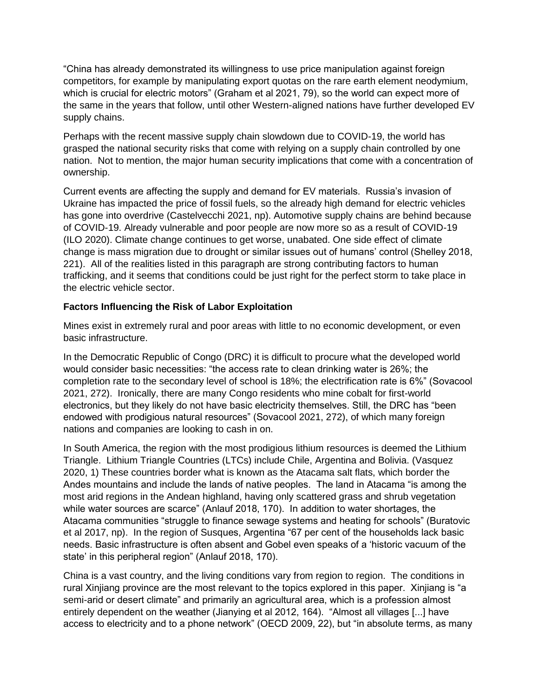"China has already demonstrated its willingness to use price manipulation against foreign competitors, for example by manipulating export quotas on the rare earth element neodymium, which is crucial for electric motors" (Graham et al 2021, 79), so the world can expect more of the same in the years that follow, until other Western-aligned nations have further developed EV supply chains.

Perhaps with the recent massive supply chain slowdown due to COVID-19, the world has grasped the national security risks that come with relying on a supply chain controlled by one nation.Not to mention, the major human security implications that come with a concentration of ownership.

Current events are affecting the supply and demand for EV materials. Russia's invasion of Ukraine has impacted the price of fossil fuels, so the already high demand for electric vehicles has gone into overdrive (Castelvecchi 2021, np). Automotive supply chains are behind because of COVID-19. Already vulnerable and poor people are now more so as a result of COVID-19 (ILO 2020). Climate change continues to get worse, unabated. One side effect of climate change is mass migration due to drought or similar issues out of humans' control (Shelley 2018, 221). All of the realities listed in this paragraph are strong contributing factors to human trafficking, and it seems that conditions could be just right for the perfect storm to take place in the electric vehicle sector.

#### **Factors Influencing the Risk of Labor Exploitation**

Mines exist in extremely rural and poor areas with little to no economic development, or even basic infrastructure.

In the Democratic Republic of Congo (DRC) it is difficult to procure what the developed world would consider basic necessities: "the access rate to clean drinking water is 26%; the completion rate to the secondary level of school is 18%; the electrification rate is 6%" (Sovacool 2021, 272). Ironically, there are many Congo residents who mine cobalt for first-world electronics, but they likely do not have basic electricity themselves. Still, the DRC has "been endowed with prodigious natural resources" (Sovacool 2021, 272), of which many foreign nations and companies are looking to cash in on.

In South America, the region with the most prodigious lithium resources is deemed the Lithium Triangle. Lithium Triangle Countries (LTCs) include Chile, Argentina and Bolivia. (Vasquez 2020, 1) These countries border what is known as the Atacama salt flats, which border the Andes mountains and include the lands of native peoples. The land in Atacama "is among the most arid regions in the Andean highland, having only scattered grass and shrub vegetation while water sources are scarce" (Anlauf 2018, 170). In addition to water shortages, the Atacama communities "struggle to finance sewage systems and heating for schools" (Buratovic et al 2017, np). In the region of Susques, Argentina "67 per cent of the households lack basic needs. Basic infrastructure is often absent and Gobel even speaks of a 'historic vacuum of the state' in this peripheral region" (Anlauf 2018, 170).

China is a vast country, and the living conditions vary from region to region. The conditions in rural Xinjiang province are the most relevant to the topics explored in this paper. Xinjiang is "a semi-arid or desert climate" and primarily an agricultural area, which is a profession almost entirely dependent on the weather (Jianying et al 2012, 164). "Almost all villages [...] have access to electricity and to a phone network" (OECD 2009, 22), but "in absolute terms, as many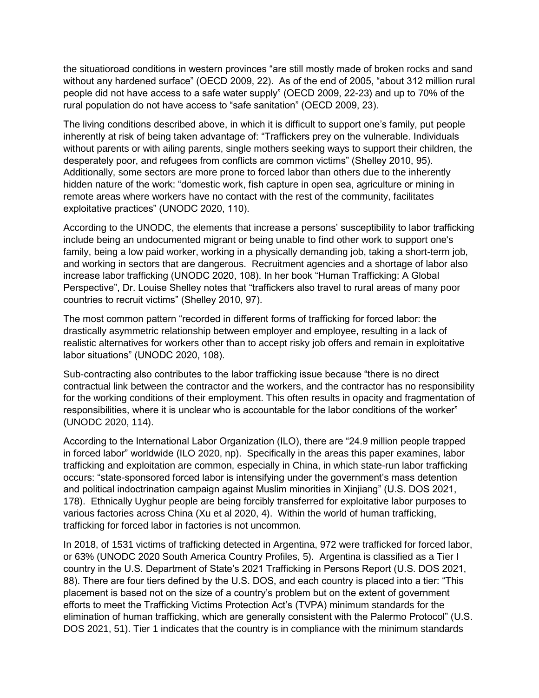the situatioroad conditions in western provinces "are still mostly made of broken rocks and sand without any hardened surface" (OECD 2009, 22). As of the end of 2005, "about 312 million rural people did not have access to a safe water supply" (OECD 2009, 22-23) and up to 70% of the rural population do not have access to "safe sanitation" (OECD 2009, 23).

The living conditions described above, in which it is difficult to support one's family, put people inherently at risk of being taken advantage of: "Traffickers prey on the vulnerable. Individuals without parents or with ailing parents, single mothers seeking ways to support their children, the desperately poor, and refugees from conflicts are common victims" (Shelley 2010, 95). Additionally, some sectors are more prone to forced labor than others due to the inherently hidden nature of the work: "domestic work, fish capture in open sea, agriculture or mining in remote areas where workers have no contact with the rest of the community, facilitates exploitative practices" (UNODC 2020, 110).

According to the UNODC, the elements that increase a persons' susceptibility to labor trafficking include being an undocumented migrant or being unable to find other work to support one's family, being a low paid worker, working in a physically demanding job, taking a short-term job, and working in sectors that are dangerous. Recruitment agencies and a shortage of labor also increase labor trafficking (UNODC 2020, 108). In her book "Human Trafficking: A Global Perspective", Dr. Louise Shelley notes that "traffickers also travel to rural areas of many poor countries to recruit victims" (Shelley 2010, 97).

The most common pattern "recorded in different forms of trafficking for forced labor: the drastically asymmetric relationship between employer and employee, resulting in a lack of realistic alternatives for workers other than to accept risky job offers and remain in exploitative labor situations" (UNODC 2020, 108).

Sub-contracting also contributes to the labor trafficking issue because "there is no direct contractual link between the contractor and the workers, and the contractor has no responsibility for the working conditions of their employment. This often results in opacity and fragmentation of responsibilities, where it is unclear who is accountable for the labor conditions of the worker" (UNODC 2020, 114).

According to the International Labor Organization (ILO), there are "24.9 million people trapped in forced labor" worldwide (ILO 2020, np). Specifically in the areas this paper examines, labor trafficking and exploitation are common, especially in China, in which state-run labor trafficking occurs: "state-sponsored forced labor is intensifying under the government's mass detention and political indoctrination campaign against Muslim minorities in Xinjiang" (U.S. DOS 2021, 178). Ethnically Uyghur people are being forcibly transferred for exploitative labor purposes to various factories across China (Xu et al 2020, 4). Within the world of human trafficking, trafficking for forced labor in factories is not uncommon.

In 2018, of 1531 victims of trafficking detected in Argentina, 972 were trafficked for forced labor, or 63% (UNODC 2020 South America Country Profiles, 5). Argentina is classified as a Tier I country in the U.S. Department of State's 2021 Trafficking in Persons Report (U.S. DOS 2021, 88). There are four tiers defined by the U.S. DOS, and each country is placed into a tier: "This placement is based not on the size of a country's problem but on the extent of government efforts to meet the Trafficking Victims Protection Act's (TVPA) minimum standards for the elimination of human trafficking, which are generally consistent with the Palermo Protocol" (U.S. DOS 2021, 51). Tier 1 indicates that the country is in compliance with the minimum standards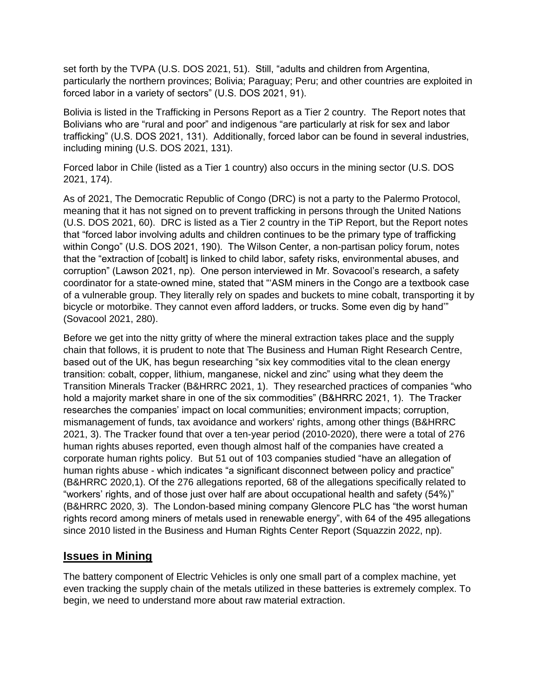set forth by the TVPA (U.S. DOS 2021, 51). Still, "adults and children from Argentina, particularly the northern provinces; Bolivia; Paraguay; Peru; and other countries are exploited in forced labor in a variety of sectors" (U.S. DOS 2021, 91).

Bolivia is listed in the Trafficking in Persons Report as a Tier 2 country. The Report notes that Bolivians who are "rural and poor" and indigenous "are particularly at risk for sex and labor trafficking" (U.S. DOS 2021, 131). Additionally, forced labor can be found in several industries, including mining (U.S. DOS 2021, 131).

Forced labor in Chile (listed as a Tier 1 country) also occurs in the mining sector (U.S. DOS 2021, 174).

As of 2021, The Democratic Republic of Congo (DRC) is not a party to the Palermo Protocol, meaning that it has not signed on to prevent trafficking in persons through the United Nations (U.S. DOS 2021, 60). DRC is listed as a Tier 2 country in the TiP Report, but the Report notes that "forced labor involving adults and children continues to be the primary type of trafficking within Congo" (U.S. DOS 2021, 190). The Wilson Center, a non-partisan policy forum, notes that the "extraction of [cobalt] is linked to child labor, safety risks, environmental abuses, and corruption" (Lawson 2021, np). One person interviewed in Mr. Sovacool's research, a safety coordinator for a state-owned mine, stated that "'ASM miners in the Congo are a textbook case of a vulnerable group. They literally rely on spades and buckets to mine cobalt, transporting it by bicycle or motorbike. They cannot even afford ladders, or trucks. Some even dig by hand'" (Sovacool 2021, 280).

Before we get into the nitty gritty of where the mineral extraction takes place and the supply chain that follows, it is prudent to note that The Business and Human Right Research Centre, based out of the UK, has begun researching "six key commodities vital to the clean energy transition: cobalt, copper, lithium, manganese, nickel and zinc" using what they deem the Transition Minerals Tracker (B&HRRC 2021, 1). They researched practices of companies "who hold a majority market share in one of the six commodities" (B&HRRC 2021, 1). The Tracker researches the companies' impact on local communities; environment impacts; corruption, mismanagement of funds, tax avoidance and workers' rights, among other things (B&HRRC 2021, 3). The Tracker found that over a ten-year period (2010-2020), there were a total of 276 human rights abuses reported, even though almost half of the companies have created a corporate human rights policy. But 51 out of 103 companies studied "have an allegation of human rights abuse - which indicates "a significant disconnect between policy and practice" (B&HRRC 2020,1). Of the 276 allegations reported, 68 of the allegations specifically related to "workers' rights, and of those just over half are about occupational health and safety (54%)" (B&HRRC 2020, 3). The London-based mining company Glencore PLC has "the worst human rights record among miners of metals used in renewable energy", with 64 of the 495 allegations since 2010 listed in the Business and Human Rights Center Report (Squazzin 2022, np).

# **Issues in Mining**

The battery component of Electric Vehicles is only one small part of a complex machine, yet even tracking the supply chain of the metals utilized in these batteries is extremely complex. To begin, we need to understand more about raw material extraction.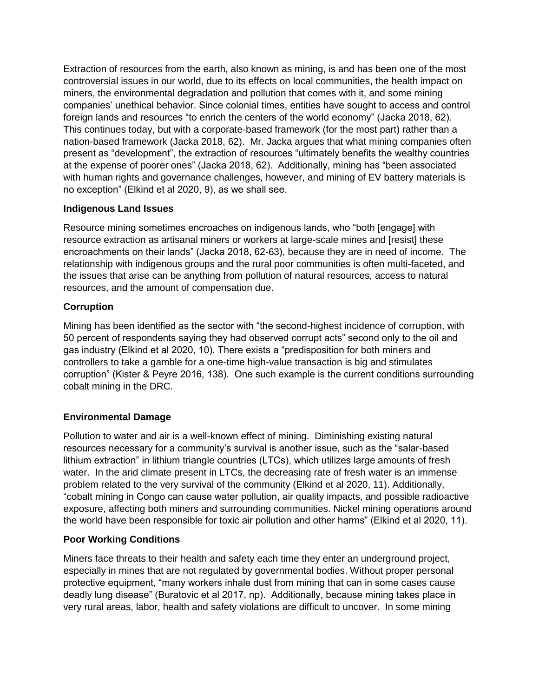Extraction of resources from the earth, also known as mining, is and has been one of the most controversial issues in our world, due to its effects on local communities, the health impact on miners, the environmental degradation and pollution that comes with it, and some mining companies' unethical behavior. Since colonial times, entities have sought to access and control foreign lands and resources "to enrich the centers of the world economy" (Jacka 2018, 62). This continues today, but with a corporate-based framework (for the most part) rather than a nation-based framework (Jacka 2018, 62). Mr. Jacka argues that what mining companies often present as "development", the extraction of resources "ultimately benefits the wealthy countries at the expense of poorer ones" (Jacka 2018, 62). Additionally, mining has "been associated with human rights and governance challenges, however, and mining of EV battery materials is no exception" (Elkind et al 2020, 9), as we shall see.

#### **Indigenous Land Issues**

Resource mining sometimes encroaches on indigenous lands, who "both [engage] with resource extraction as artisanal miners or workers at large-scale mines and [resist] these encroachments on their lands" (Jacka 2018, 62-63), because they are in need of income. The relationship with indigenous groups and the rural poor communities is often multi-faceted, and the issues that arise can be anything from pollution of natural resources, access to natural resources, and the amount of compensation due.

#### **Corruption**

Mining has been identified as the sector with "the second-highest incidence of corruption, with 50 percent of respondents saying they had observed corrupt acts" second only to the oil and gas industry (Elkind et al 2020, 10). There exists a "predisposition for both miners and controllers to take a gamble for a one-time high-value transaction is big and stimulates corruption" (Kister & Peyre 2016, 138). One such example is the current conditions surrounding cobalt mining in the DRC.

#### **Environmental Damage**

Pollution to water and air is a well-known effect of mining. Diminishing existing natural resources necessary for a community's survival is another issue, such as the "salar-based lithium extraction" in lithium triangle countries (LTCs), which utilizes large amounts of fresh water. In the arid climate present in LTCs, the decreasing rate of fresh water is an immense problem related to the very survival of the community (Elkind et al 2020, 11). Additionally, "cobalt mining in Congo can cause water pollution, air quality impacts, and possible radioactive exposure, affecting both miners and surrounding communities. Nickel mining operations around the world have been responsible for toxic air pollution and other harms" (Elkind et al 2020, 11).

#### **Poor Working Conditions**

Miners face threats to their health and safety each time they enter an underground project, especially in mines that are not regulated by governmental bodies. Without proper personal protective equipment, "many workers inhale dust from mining that can in some cases cause deadly lung disease" (Buratovic et al 2017, np). Additionally, because mining takes place in very rural areas, labor, health and safety violations are difficult to uncover. In some mining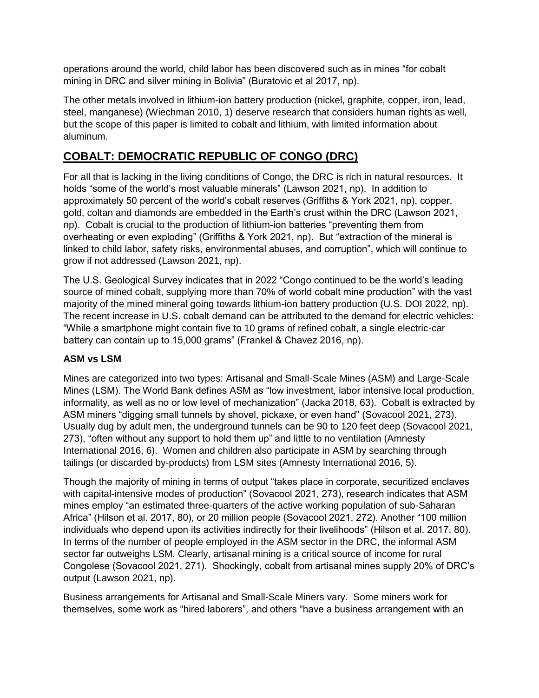operations around the world, child labor has been discovered such as in mines "for cobalt mining in DRC and silver mining in Bolivia" (Buratovic et al 2017, np).

The other metals involved in lithium-ion battery production (nickel, graphite, copper, iron, lead, steel, manganese) (Wiechman 2010, 1) deserve research that considers human rights as well, but the scope of this paper is limited to cobalt and lithium, with limited information about aluminum.

# **COBALT: DEMOCRATIC REPUBLIC OF CONGO (DRC)**

For all that is lacking in the living conditions of Congo, the DRC is rich in natural resources. It holds "some of the world's most valuable minerals" (Lawson 2021, np). In addition to approximately 50 percent of the world's cobalt reserves (Griffiths & York 2021, np), copper, gold, coltan and diamonds are embedded in the Earth's crust within the DRC (Lawson 2021, np). Cobalt is crucial to the production of lithium-ion batteries "preventing them from overheating or even exploding" (Griffiths & York 2021, np). But "extraction of the mineral is linked to child labor, safety risks, environmental abuses, and corruption", which will continue to grow if not addressed (Lawson 2021, np).

The U.S. Geological Survey indicates that in 2022 "Congo continued to be the world's leading source of mined cobalt, supplying more than 70% of world cobalt mine production" with the vast majority of the mined mineral going towards lithium-ion battery production (U.S. DOI 2022, np). The recent increase in U.S. cobalt demand can be attributed to the demand for electric vehicles: "While a smartphone might contain five to 10 grams of refined cobalt, a single electric-car battery can contain up to 15,000 grams" (Frankel & Chavez 2016, np).

#### **ASM vs LSM**

Mines are categorized into two types: Artisanal and Small-Scale Mines (ASM) and Large-Scale Mines (LSM). The World Bank defines ASM as "low investment, labor intensive local production, informality, as well as no or low level of mechanization" (Jacka 2018, 63). Cobalt is extracted by ASM miners "digging small tunnels by shovel, pickaxe, or even hand" (Sovacool 2021, 273). Usually dug by adult men, the underground tunnels can be 90 to 120 feet deep (Sovacool 2021, 273), "often without any support to hold them up" and little to no ventilation (Amnesty International 2016, 6). Women and children also participate in ASM by searching through tailings (or discarded by-products) from LSM sites (Amnesty International 2016, 5).

Though the majority of mining in terms of output "takes place in corporate, securitized enclaves with capital-intensive modes of production" (Sovacool 2021, 273), research indicates that ASM mines employ "an estimated three-quarters of the active working population of sub-Saharan Africa" (Hilson et al. 2017, 80), or 20 million people (Sovacool 2021, 272). Another "100 million individuals who depend upon its activities indirectly for their livelihoods" (Hilson et al. 2017, 80). In terms of the number of people employed in the ASM sector in the DRC, the informal ASM sector far outweighs LSM. Clearly, artisanal mining is a critical source of income for rural Congolese (Sovacool 2021, 271). Shockingly, cobalt from artisanal mines supply 20% of DRC's output (Lawson 2021, np).

Business arrangements for Artisanal and Small-Scale Miners vary. Some miners work for themselves, some work as "hired laborers", and others "have a business arrangement with an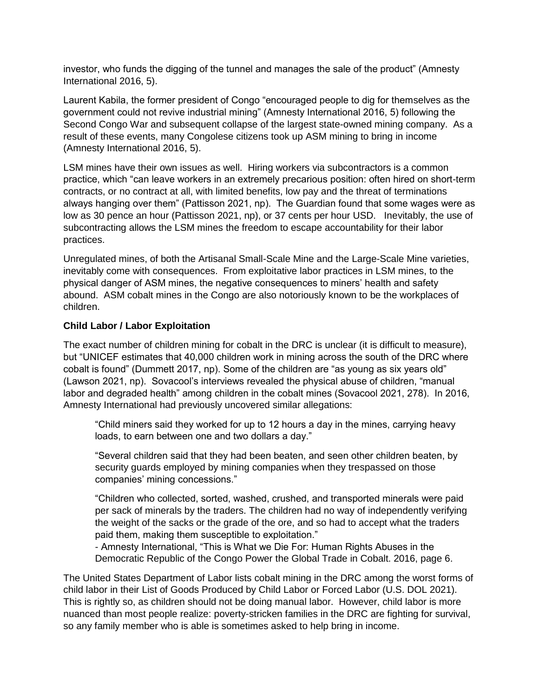investor, who funds the digging of the tunnel and manages the sale of the product" (Amnesty International 2016, 5).

Laurent Kabila, the former president of Congo "encouraged people to dig for themselves as the government could not revive industrial mining" (Amnesty International 2016, 5) following the Second Congo War and subsequent collapse of the largest state-owned mining company. As a result of these events, many Congolese citizens took up ASM mining to bring in income (Amnesty International 2016, 5).

LSM mines have their own issues as well. Hiring workers via subcontractors is a common practice, which "can leave workers in an extremely precarious position: often hired on short-term contracts, or no contract at all, with limited benefits, low pay and the threat of terminations always hanging over them" (Pattisson 2021, np). The Guardian found that some wages were as low as 30 pence an hour (Pattisson 2021, np), or 37 cents per hour USD. Inevitably, the use of subcontracting allows the LSM mines the freedom to escape accountability for their labor practices.

Unregulated mines, of both the Artisanal Small-Scale Mine and the Large-Scale Mine varieties, inevitably come with consequences. From exploitative labor practices in LSM mines, to the physical danger of ASM mines, the negative consequences to miners' health and safety abound. ASM cobalt mines in the Congo are also notoriously known to be the workplaces of children.

#### **Child Labor / Labor Exploitation**

The exact number of children mining for cobalt in the DRC is unclear (it is difficult to measure), but "UNICEF estimates that 40,000 children work in mining across the south of the DRC where cobalt is found" (Dummett 2017, np). Some of the children are "as young as six years old" (Lawson 2021, np). Sovacool's interviews revealed the physical abuse of children, "manual labor and degraded health" among children in the cobalt mines (Sovacool 2021, 278). In 2016, Amnesty International had previously uncovered similar allegations:

"Child miners said they worked for up to 12 hours a day in the mines, carrying heavy loads, to earn between one and two dollars a day."

"Several children said that they had been beaten, and seen other children beaten, by security guards employed by mining companies when they trespassed on those companies' mining concessions."

"Children who collected, sorted, washed, crushed, and transported minerals were paid per sack of minerals by the traders. The children had no way of independently verifying the weight of the sacks or the grade of the ore, and so had to accept what the traders paid them, making them susceptible to exploitation."

- Amnesty International, "This is What we Die For: Human Rights Abuses in the Democratic Republic of the Congo Power the Global Trade in Cobalt. 2016, page 6.

The United States Department of Labor lists cobalt mining in the DRC among the worst forms of child labor in their List of Goods Produced by Child Labor or Forced Labor (U.S. DOL 2021). This is rightly so, as children should not be doing manual labor. However, child labor is more nuanced than most people realize: poverty-stricken families in the DRC are fighting for survival, so any family member who is able is sometimes asked to help bring in income.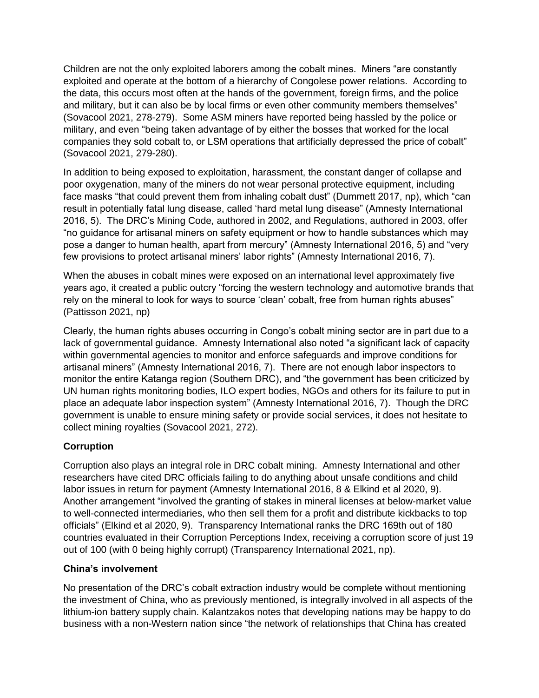Children are not the only exploited laborers among the cobalt mines. Miners "are constantly exploited and operate at the bottom of a hierarchy of Congolese power relations. According to the data, this occurs most often at the hands of the government, foreign firms, and the police and military, but it can also be by local firms or even other community members themselves" (Sovacool 2021, 278-279). Some ASM miners have reported being hassled by the police or military, and even "being taken advantage of by either the bosses that worked for the local companies they sold cobalt to, or LSM operations that artificially depressed the price of cobalt" (Sovacool 2021, 279-280).

In addition to being exposed to exploitation, harassment, the constant danger of collapse and poor oxygenation, many of the miners do not wear personal protective equipment, including face masks "that could prevent them from inhaling cobalt dust" (Dummett 2017, np), which "can result in potentially fatal lung disease, called 'hard metal lung disease" (Amnesty International 2016, 5). The DRC's Mining Code, authored in 2002, and Regulations, authored in 2003, offer "no guidance for artisanal miners on safety equipment or how to handle substances which may pose a danger to human health, apart from mercury" (Amnesty International 2016, 5) and "very few provisions to protect artisanal miners' labor rights" (Amnesty International 2016, 7).

When the abuses in cobalt mines were exposed on an international level approximately five years ago, it created a public outcry "forcing the western technology and automotive brands that rely on the mineral to look for ways to source 'clean' cobalt, free from human rights abuses" (Pattisson 2021, np)

Clearly, the human rights abuses occurring in Congo's cobalt mining sector are in part due to a lack of governmental guidance. Amnesty International also noted "a significant lack of capacity within governmental agencies to monitor and enforce safeguards and improve conditions for artisanal miners" (Amnesty International 2016, 7). There are not enough labor inspectors to monitor the entire Katanga region (Southern DRC), and "the government has been criticized by UN human rights monitoring bodies, ILO expert bodies, NGOs and others for its failure to put in place an adequate labor inspection system" (Amnesty International 2016, 7). Though the DRC government is unable to ensure mining safety or provide social services, it does not hesitate to collect mining royalties (Sovacool 2021, 272).

#### **Corruption**

Corruption also plays an integral role in DRC cobalt mining. Amnesty International and other researchers have cited DRC officials failing to do anything about unsafe conditions and child labor issues in return for payment (Amnesty International 2016, 8 & Elkind et al 2020, 9). Another arrangement "involved the granting of stakes in mineral licenses at below-market value to well-connected intermediaries, who then sell them for a profit and distribute kickbacks to top officials" (Elkind et al 2020, 9). Transparency International ranks the DRC 169th out of 180 countries evaluated in their Corruption Perceptions Index, receiving a corruption score of just 19 out of 100 (with 0 being highly corrupt) (Transparency International 2021, np).

#### **China's involvement**

No presentation of the DRC's cobalt extraction industry would be complete without mentioning the investment of China, who as previously mentioned, is integrally involved in all aspects of the lithium-ion battery supply chain. Kalantzakos notes that developing nations may be happy to do business with a non-Western nation since "the network of relationships that China has created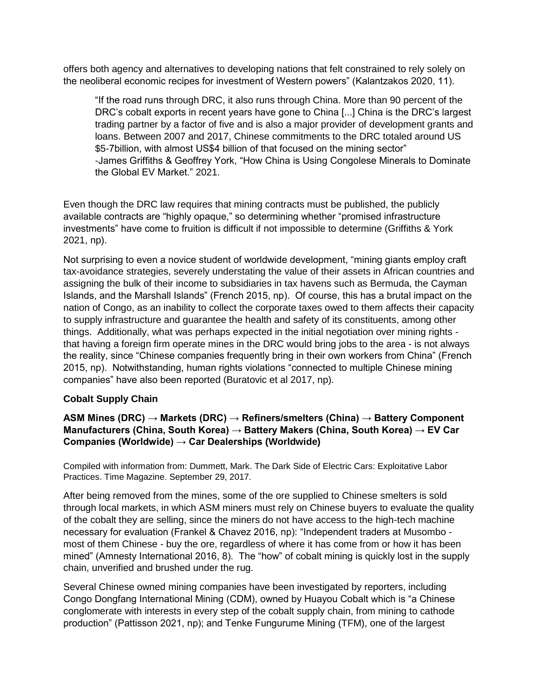offers both agency and alternatives to developing nations that felt constrained to rely solely on the neoliberal economic recipes for investment of Western powers" (Kalantzakos 2020, 11).

"If the road runs through DRC, it also runs through China. More than 90 percent of the DRC's cobalt exports in recent years have gone to China [...] China is the DRC's largest trading partner by a factor of five and is also a major provider of development grants and loans. Between 2007 and 2017, Chinese commitments to the DRC totaled around US \$5-7billion, with almost US\$4 billion of that focused on the mining sector" -James Griffiths & Geoffrey York, "How China is Using Congolese Minerals to Dominate the Global EV Market." 2021.

Even though the DRC law requires that mining contracts must be published, the publicly available contracts are "highly opaque," so determining whether "promised infrastructure investments" have come to fruition is difficult if not impossible to determine (Griffiths & York 2021, np).

Not surprising to even a novice student of worldwide development, "mining giants employ craft tax-avoidance strategies, severely understating the value of their assets in African countries and assigning the bulk of their income to subsidiaries in tax havens such as Bermuda, the Cayman Islands, and the Marshall Islands" (French 2015, np). Of course, this has a brutal impact on the nation of Congo, as an inability to collect the corporate taxes owed to them affects their capacity to supply infrastructure and guarantee the health and safety of its constituents, among other things. Additionally, what was perhaps expected in the initial negotiation over mining rights that having a foreign firm operate mines in the DRC would bring jobs to the area - is not always the reality, since "Chinese companies frequently bring in their own workers from China" (French 2015, np). Notwithstanding, human rights violations "connected to multiple Chinese mining companies" have also been reported (Buratovic et al 2017, np).

#### **Cobalt Supply Chain**

#### **ASM Mines (DRC) → Markets (DRC) → Refiners/smelters (China) → Battery Component Manufacturers (China, South Korea) → Battery Makers (China, South Korea) → EV Car Companies (Worldwide) → Car Dealerships (Worldwide)**

Compiled with information from: Dummett, Mark. The Dark Side of Electric Cars: Exploitative Labor Practices. Time Magazine. September 29, 2017.

After being removed from the mines, some of the ore supplied to Chinese smelters is sold through local markets, in which ASM miners must rely on Chinese buyers to evaluate the quality of the cobalt they are selling, since the miners do not have access to the high-tech machine necessary for evaluation (Frankel & Chavez 2016, np): "Independent traders at Musombo most of them Chinese - buy the ore, regardless of where it has come from or how it has been mined" (Amnesty International 2016, 8). The "how" of cobalt mining is quickly lost in the supply chain, unverified and brushed under the rug.

Several Chinese owned mining companies have been investigated by reporters, including Congo Dongfang International Mining (CDM), owned by Huayou Cobalt which is "a Chinese conglomerate with interests in every step of the cobalt supply chain, from mining to cathode production" (Pattisson 2021, np); and Tenke Fungurume Mining (TFM), one of the largest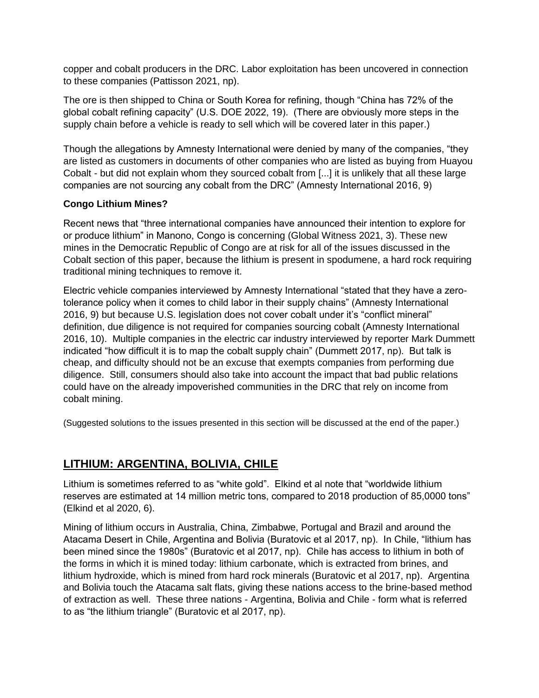copper and cobalt producers in the DRC. Labor exploitation has been uncovered in connection to these companies (Pattisson 2021, np).

The ore is then shipped to China or South Korea for refining, though "China has 72% of the global cobalt refining capacity" (U.S. DOE 2022, 19). (There are obviously more steps in the supply chain before a vehicle is ready to sell which will be covered later in this paper.)

Though the allegations by Amnesty International were denied by many of the companies, "they are listed as customers in documents of other companies who are listed as buying from Huayou Cobalt - but did not explain whom they sourced cobalt from [...] it is unlikely that all these large companies are not sourcing any cobalt from the DRC" (Amnesty International 2016, 9)

#### **Congo Lithium Mines?**

Recent news that "three international companies have announced their intention to explore for or produce lithium" in Manono, Congo is concerning (Global Witness 2021, 3). These new mines in the Democratic Republic of Congo are at risk for all of the issues discussed in the Cobalt section of this paper, because the lithium is present in spodumene, a hard rock requiring traditional mining techniques to remove it.

Electric vehicle companies interviewed by Amnesty International "stated that they have a zerotolerance policy when it comes to child labor in their supply chains" (Amnesty International 2016, 9) but because U.S. legislation does not cover cobalt under it's "conflict mineral" definition, due diligence is not required for companies sourcing cobalt (Amnesty International 2016, 10). Multiple companies in the electric car industry interviewed by reporter Mark Dummett indicated "how difficult it is to map the cobalt supply chain" (Dummett 2017, np). But talk is cheap, and difficulty should not be an excuse that exempts companies from performing due diligence. Still, consumers should also take into account the impact that bad public relations could have on the already impoverished communities in the DRC that rely on income from cobalt mining.

(Suggested solutions to the issues presented in this section will be discussed at the end of the paper.)

# **LITHIUM: ARGENTINA, BOLIVIA, CHILE**

Lithium is sometimes referred to as "white gold". Elkind et al note that "worldwide lithium reserves are estimated at 14 million metric tons, compared to 2018 production of 85,0000 tons" (Elkind et al 2020, 6).

Mining of lithium occurs in Australia, China, Zimbabwe, Portugal and Brazil and around the Atacama Desert in Chile, Argentina and Bolivia (Buratovic et al 2017, np). In Chile, "lithium has been mined since the 1980s" (Buratovic et al 2017, np). Chile has access to lithium in both of the forms in which it is mined today: lithium carbonate, which is extracted from brines, and lithium hydroxide, which is mined from hard rock minerals (Buratovic et al 2017, np). Argentina and Bolivia touch the Atacama salt flats, giving these nations access to the brine-based method of extraction as well. These three nations - Argentina, Bolivia and Chile - form what is referred to as "the lithium triangle" (Buratovic et al 2017, np).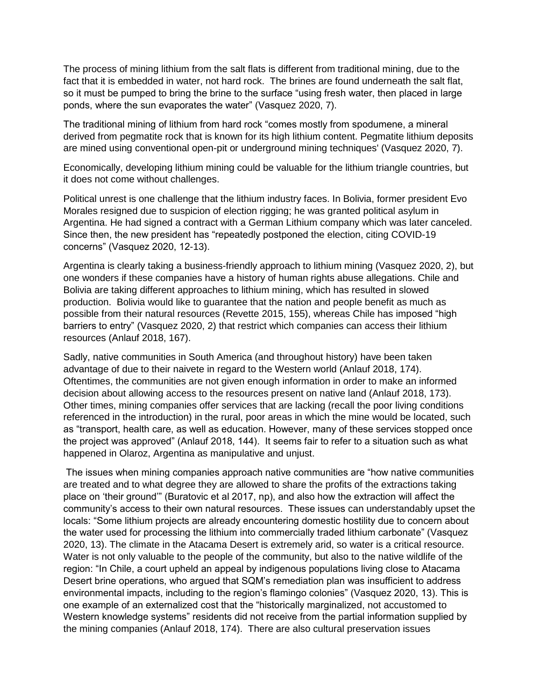The process of mining lithium from the salt flats is different from traditional mining, due to the fact that it is embedded in water, not hard rock. The brines are found underneath the salt flat, so it must be pumped to bring the brine to the surface "using fresh water, then placed in large ponds, where the sun evaporates the water" (Vasquez 2020, 7).

The traditional mining of lithium from hard rock "comes mostly from spodumene, a mineral derived from pegmatite rock that is known for its high lithium content. Pegmatite lithium deposits are mined using conventional open-pit or underground mining techniques' (Vasquez 2020, 7).

Economically, developing lithium mining could be valuable for the lithium triangle countries, but it does not come without challenges.

Political unrest is one challenge that the lithium industry faces. In Bolivia, former president Evo Morales resigned due to suspicion of election rigging; he was granted political asylum in Argentina. He had signed a contract with a German Lithium company which was later canceled. Since then, the new president has "repeatedly postponed the election, citing COVID-19 concerns" (Vasquez 2020, 12-13).

Argentina is clearly taking a business-friendly approach to lithium mining (Vasquez 2020, 2), but one wonders if these companies have a history of human rights abuse allegations. Chile and Bolivia are taking different approaches to lithium mining, which has resulted in slowed production. Bolivia would like to guarantee that the nation and people benefit as much as possible from their natural resources (Revette 2015, 155), whereas Chile has imposed "high barriers to entry" (Vasquez 2020, 2) that restrict which companies can access their lithium resources (Anlauf 2018, 167).

Sadly, native communities in South America (and throughout history) have been taken advantage of due to their naivete in regard to the Western world (Anlauf 2018, 174). Oftentimes, the communities are not given enough information in order to make an informed decision about allowing access to the resources present on native land (Anlauf 2018, 173). Other times, mining companies offer services that are lacking (recall the poor living conditions referenced in the introduction) in the rural, poor areas in which the mine would be located, such as "transport, health care, as well as education. However, many of these services stopped once the project was approved" (Anlauf 2018, 144). It seems fair to refer to a situation such as what happened in Olaroz, Argentina as manipulative and unjust.

The issues when mining companies approach native communities are "how native communities are treated and to what degree they are allowed to share the profits of the extractions taking place on 'their ground'" (Buratovic et al 2017, np), and also how the extraction will affect the community's access to their own natural resources. These issues can understandably upset the locals: "Some lithium projects are already encountering domestic hostility due to concern about the water used for processing the lithium into commercially traded lithium carbonate" (Vasquez 2020, 13). The climate in the Atacama Desert is extremely arid, so water is a critical resource. Water is not only valuable to the people of the community, but also to the native wildlife of the region: "In Chile, a court upheld an appeal by indigenous populations living close to Atacama Desert brine operations, who argued that SQM's remediation plan was insufficient to address environmental impacts, including to the region's flamingo colonies" (Vasquez 2020, 13). This is one example of an externalized cost that the "historically marginalized, not accustomed to Western knowledge systems" residents did not receive from the partial information supplied by the mining companies (Anlauf 2018, 174). There are also cultural preservation issues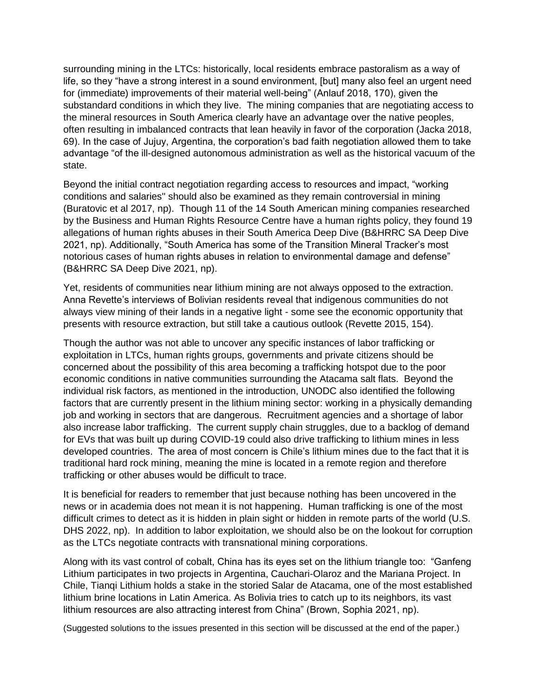surrounding mining in the LTCs: historically, local residents embrace pastoralism as a way of life, so they "have a strong interest in a sound environment, [but] many also feel an urgent need for (immediate) improvements of their material well-being" (Anlauf 2018, 170), given the substandard conditions in which they live. The mining companies that are negotiating access to the mineral resources in South America clearly have an advantage over the native peoples, often resulting in imbalanced contracts that lean heavily in favor of the corporation (Jacka 2018, 69). In the case of Jujuy, Argentina, the corporation's bad faith negotiation allowed them to take advantage "of the ill-designed autonomous administration as well as the historical vacuum of the state.

Beyond the initial contract negotiation regarding access to resources and impact, "working conditions and salaries'' should also be examined as they remain controversial in mining (Buratovic et al 2017, np). Though 11 of the 14 South American mining companies researched by the Business and Human Rights Resource Centre have a human rights policy, they found 19 allegations of human rights abuses in their South America Deep Dive (B&HRRC SA Deep Dive 2021, np). Additionally, "South America has some of the Transition Mineral Tracker's most notorious cases of human rights abuses in relation to environmental damage and defense" (B&HRRC SA Deep Dive 2021, np).

Yet, residents of communities near lithium mining are not always opposed to the extraction. Anna Revette's interviews of Bolivian residents reveal that indigenous communities do not always view mining of their lands in a negative light - some see the economic opportunity that presents with resource extraction, but still take a cautious outlook (Revette 2015, 154).

Though the author was not able to uncover any specific instances of labor trafficking or exploitation in LTCs, human rights groups, governments and private citizens should be concerned about the possibility of this area becoming a trafficking hotspot due to the poor economic conditions in native communities surrounding the Atacama salt flats. Beyond the individual risk factors, as mentioned in the introduction, UNODC also identified the following factors that are currently present in the lithium mining sector: working in a physically demanding job and working in sectors that are dangerous. Recruitment agencies and a shortage of labor also increase labor trafficking. The current supply chain struggles, due to a backlog of demand for EVs that was built up during COVID-19 could also drive trafficking to lithium mines in less developed countries. The area of most concern is Chile's lithium mines due to the fact that it is traditional hard rock mining, meaning the mine is located in a remote region and therefore trafficking or other abuses would be difficult to trace.

It is beneficial for readers to remember that just because nothing has been uncovered in the news or in academia does not mean it is not happening. Human trafficking is one of the most difficult crimes to detect as it is hidden in plain sight or hidden in remote parts of the world (U.S. DHS 2022, np). In addition to labor exploitation, we should also be on the lookout for corruption as the LTCs negotiate contracts with transnational mining corporations.

Along with its vast control of cobalt, China has its eyes set on the lithium triangle too: "Ganfeng Lithium participates in two projects in Argentina, Cauchari-Olaroz and the Mariana Project. In Chile, Tianqi Lithium holds a stake in the storied Salar de Atacama, one of the most established lithium brine locations in Latin America. As Bolivia tries to catch up to its neighbors, its vast lithium resources are also attracting interest from China" (Brown, Sophia 2021, np).

(Suggested solutions to the issues presented in this section will be discussed at the end of the paper.)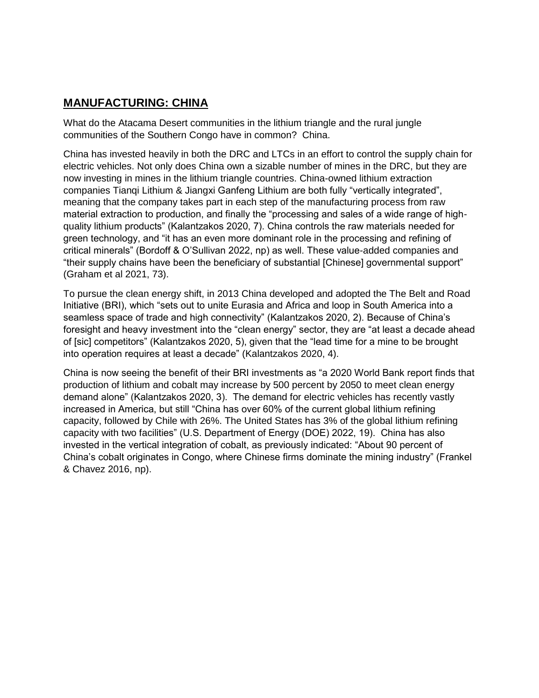# **MANUFACTURING: CHINA**

What do the Atacama Desert communities in the lithium triangle and the rural jungle communities of the Southern Congo have in common? China.

China has invested heavily in both the DRC and LTCs in an effort to control the supply chain for electric vehicles. Not only does China own a sizable number of mines in the DRC, but they are now investing in mines in the lithium triangle countries. China-owned lithium extraction companies Tianqi Lithium & Jiangxi Ganfeng Lithium are both fully "vertically integrated", meaning that the company takes part in each step of the manufacturing process from raw material extraction to production, and finally the "processing and sales of a wide range of highquality lithium products" (Kalantzakos 2020, 7). China controls the raw materials needed for green technology, and "it has an even more dominant role in the processing and refining of critical minerals" (Bordoff & O'Sullivan 2022, np) as well. These value-added companies and "their supply chains have been the beneficiary of substantial [Chinese] governmental support" (Graham et al 2021, 73).

To pursue the clean energy shift, in 2013 China developed and adopted the The Belt and Road Initiative (BRI), which "sets out to unite Eurasia and Africa and loop in South America into a seamless space of trade and high connectivity" (Kalantzakos 2020, 2). Because of China's foresight and heavy investment into the "clean energy" sector, they are "at least a decade ahead of [sic] competitors" (Kalantzakos 2020, 5), given that the "lead time for a mine to be brought into operation requires at least a decade" (Kalantzakos 2020, 4).

China is now seeing the benefit of their BRI investments as "a 2020 World Bank report finds that production of lithium and cobalt may increase by 500 percent by 2050 to meet clean energy demand alone" (Kalantzakos 2020, 3). The demand for electric vehicles has recently vastly increased in America, but still "China has over 60% of the current global lithium refining capacity, followed by Chile with 26%. The United States has 3% of the global lithium refining capacity with two facilities" (U.S. Department of Energy (DOE) 2022, 19). China has also invested in the vertical integration of cobalt, as previously indicated: "About 90 percent of China's cobalt originates in Congo, where Chinese firms dominate the mining industry" (Frankel & Chavez 2016, np).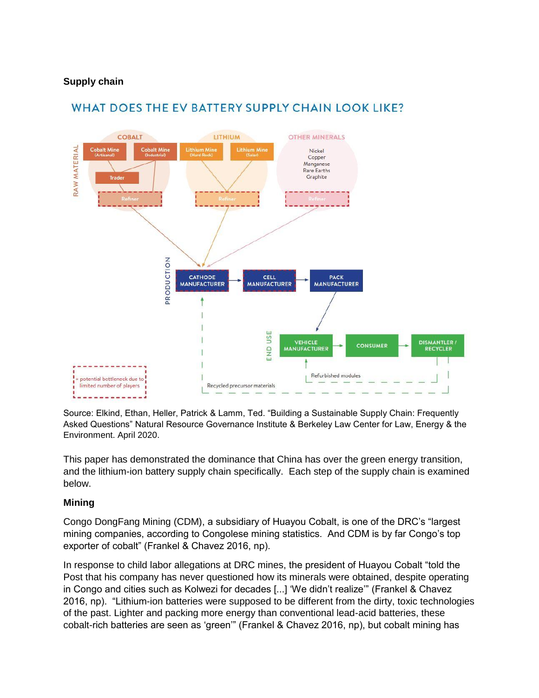#### **Supply chain**



# WHAT DOES THE EV BATTERY SUPPLY CHAIN LOOK LIKE?

Source: Elkind, Ethan, Heller, Patrick & Lamm, Ted. "Building a Sustainable Supply Chain: Frequently Asked Questions" Natural Resource Governance Institute & Berkeley Law Center for Law, Energy & the Environment. April 2020.

This paper has demonstrated the dominance that China has over the green energy transition, and the lithium-ion battery supply chain specifically. Each step of the supply chain is examined below.

#### **Mining**

Congo DongFang Mining (CDM), a subsidiary of Huayou Cobalt, is one of the DRC's "largest mining companies, according to Congolese mining statistics. And CDM is by far Congo's top exporter of cobalt" (Frankel & Chavez 2016, np).

In response to child labor allegations at DRC mines, the president of Huayou Cobalt "told the Post that his company has never questioned how its minerals were obtained, despite operating in Congo and cities such as Kolwezi for decades [...] 'We didn't realize'" (Frankel & Chavez 2016, np). "Lithium-ion batteries were supposed to be different from the dirty, toxic technologies of the past. Lighter and packing more energy than conventional lead-acid batteries, these cobalt-rich batteries are seen as 'green'" (Frankel & Chavez 2016, np), but cobalt mining has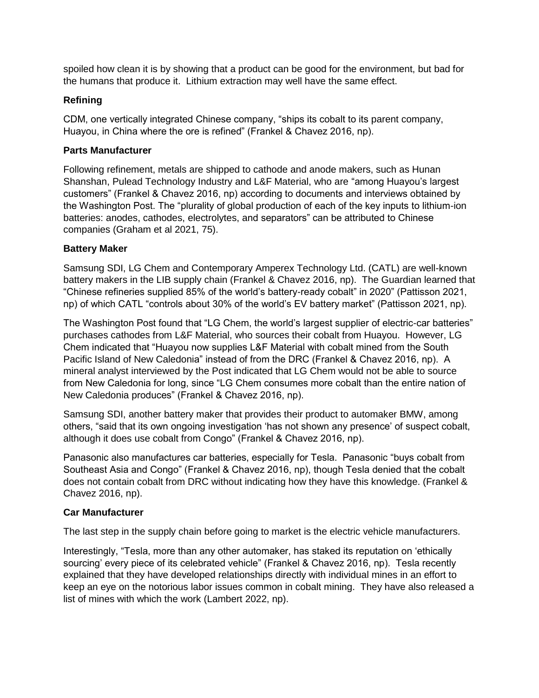spoiled how clean it is by showing that a product can be good for the environment, but bad for the humans that produce it. Lithium extraction may well have the same effect.

#### **Refining**

CDM, one vertically integrated Chinese company, "ships its cobalt to its parent company, Huayou, in China where the ore is refined" (Frankel & Chavez 2016, np).

#### **Parts Manufacturer**

Following refinement, metals are shipped to cathode and anode makers, such as Hunan Shanshan, Pulead Technology Industry and L&F Material, who are "among Huayou's largest customers" (Frankel & Chavez 2016, np) according to documents and interviews obtained by the Washington Post. The "plurality of global production of each of the key inputs to lithium-ion batteries: anodes, cathodes, electrolytes, and separators" can be attributed to Chinese companies (Graham et al 2021, 75).

#### **Battery Maker**

Samsung SDI, LG Chem and Contemporary Amperex Technology Ltd. (CATL) are well-known battery makers in the LIB supply chain (Frankel & Chavez 2016, np). The Guardian learned that "Chinese refineries supplied 85% of the world's battery-ready cobalt" in 2020" (Pattisson 2021, np) of which CATL "controls about 30% of the world's EV battery market" (Pattisson 2021, np).

The Washington Post found that "LG Chem, the world's largest supplier of electric-car batteries" purchases cathodes from L&F Material, who sources their cobalt from Huayou. However, LG Chem indicated that "Huayou now supplies L&F Material with cobalt mined from the South Pacific Island of New Caledonia" instead of from the DRC (Frankel & Chavez 2016, np). A mineral analyst interviewed by the Post indicated that LG Chem would not be able to source from New Caledonia for long, since "LG Chem consumes more cobalt than the entire nation of New Caledonia produces" (Frankel & Chavez 2016, np).

Samsung SDI, another battery maker that provides their product to automaker BMW, among others, "said that its own ongoing investigation 'has not shown any presence' of suspect cobalt, although it does use cobalt from Congo" (Frankel & Chavez 2016, np).

Panasonic also manufactures car batteries, especially for Tesla. Panasonic "buys cobalt from Southeast Asia and Congo" (Frankel & Chavez 2016, np), though Tesla denied that the cobalt does not contain cobalt from DRC without indicating how they have this knowledge. (Frankel & Chavez 2016, np).

#### **Car Manufacturer**

The last step in the supply chain before going to market is the electric vehicle manufacturers.

Interestingly, "Tesla, more than any other automaker, has staked its reputation on 'ethically sourcing' every piece of its celebrated vehicle" (Frankel & Chavez 2016, np). Tesla recently explained that they have developed relationships directly with individual mines in an effort to keep an eye on the notorious labor issues common in cobalt mining. They have also released a list of mines with which the work (Lambert 2022, np).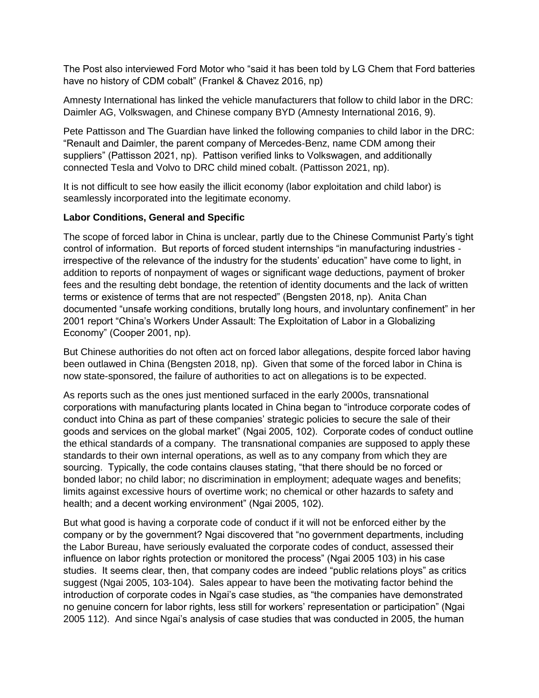The Post also interviewed Ford Motor who "said it has been told by LG Chem that Ford batteries have no history of CDM cobalt" (Frankel & Chavez 2016, np)

Amnesty International has linked the vehicle manufacturers that follow to child labor in the DRC: Daimler AG, Volkswagen, and Chinese company BYD (Amnesty International 2016, 9).

Pete Pattisson and The Guardian have linked the following companies to child labor in the DRC: "Renault and Daimler, the parent company of Mercedes-Benz, name CDM among their suppliers" (Pattisson 2021, np). Pattison verified links to Volkswagen, and additionally connected Tesla and Volvo to DRC child mined cobalt. (Pattisson 2021, np).

It is not difficult to see how easily the illicit economy (labor exploitation and child labor) is seamlessly incorporated into the legitimate economy.

#### **Labor Conditions, General and Specific**

The scope of forced labor in China is unclear, partly due to the Chinese Communist Party's tight control of information. But reports of forced student internships "in manufacturing industries irrespective of the relevance of the industry for the students' education" have come to light, in addition to reports of nonpayment of wages or significant wage deductions, payment of broker fees and the resulting debt bondage, the retention of identity documents and the lack of written terms or existence of terms that are not respected" (Bengsten 2018, np). Anita Chan documented "unsafe working conditions, brutally long hours, and involuntary confinement" in her 2001 report "China's Workers Under Assault: The Exploitation of Labor in a Globalizing Economy" (Cooper 2001, np).

But Chinese authorities do not often act on forced labor allegations, despite forced labor having been outlawed in China (Bengsten 2018, np). Given that some of the forced labor in China is now state-sponsored, the failure of authorities to act on allegations is to be expected.

As reports such as the ones just mentioned surfaced in the early 2000s, transnational corporations with manufacturing plants located in China began to "introduce corporate codes of conduct into China as part of these companies' strategic policies to secure the sale of their goods and services on the global market" (Ngai 2005, 102). Corporate codes of conduct outline the ethical standards of a company. The transnational companies are supposed to apply these standards to their own internal operations, as well as to any company from which they are sourcing. Typically, the code contains clauses stating, "that there should be no forced or bonded labor; no child labor; no discrimination in employment; adequate wages and benefits; limits against excessive hours of overtime work; no chemical or other hazards to safety and health; and a decent working environment" (Ngai 2005, 102).

But what good is having a corporate code of conduct if it will not be enforced either by the company or by the government? Ngai discovered that "no government departments, including the Labor Bureau, have seriously evaluated the corporate codes of conduct, assessed their influence on labor rights protection or monitored the process" (Ngai 2005 103) in his case studies. It seems clear, then, that company codes are indeed "public relations ploys" as critics suggest (Ngai 2005, 103-104). Sales appear to have been the motivating factor behind the introduction of corporate codes in Ngai's case studies, as "the companies have demonstrated no genuine concern for labor rights, less still for workers' representation or participation" (Ngai 2005 112). And since Ngai's analysis of case studies that was conducted in 2005, the human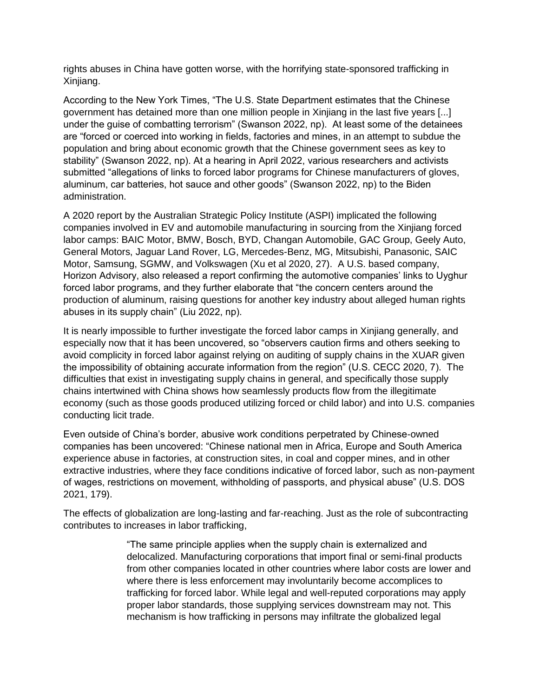rights abuses in China have gotten worse, with the horrifying state-sponsored trafficking in Xinjiang.

According to the New York Times, "The U.S. State Department estimates that the Chinese government has detained more than one million people in Xinjiang in the last five years [...] under the guise of combatting terrorism" (Swanson 2022, np). At least some of the detainees are "forced or coerced into working in fields, factories and mines, in an attempt to subdue the population and bring about economic growth that the Chinese government sees as key to stability" (Swanson 2022, np). At a hearing in April 2022, various researchers and activists submitted "allegations of links to forced labor programs for Chinese manufacturers of gloves, aluminum, car batteries, hot sauce and other goods" (Swanson 2022, np) to the Biden administration.

A 2020 report by the Australian Strategic Policy Institute (ASPI) implicated the following companies involved in EV and automobile manufacturing in sourcing from the Xinjiang forced labor camps: BAIC Motor, BMW, Bosch, BYD, Changan Automobile, GAC Group, Geely Auto, General Motors, Jaguar Land Rover, LG, Mercedes-Benz, MG, Mitsubishi, Panasonic, SAIC Motor, Samsung, SGMW, and Volkswagen (Xu et al 2020, 27). A U.S. based company, Horizon Advisory, also released a report confirming the automotive companies' links to Uyghur forced labor programs, and they further elaborate that "the concern centers around the production of aluminum, raising questions for another key industry about alleged human rights abuses in its supply chain" (Liu 2022, np).

It is nearly impossible to further investigate the forced labor camps in Xinjiang generally, and especially now that it has been uncovered, so "observers caution firms and others seeking to avoid complicity in forced labor against relying on auditing of supply chains in the XUAR given the impossibility of obtaining accurate information from the region" (U.S. CECC 2020, 7). The difficulties that exist in investigating supply chains in general, and specifically those supply chains intertwined with China shows how seamlessly products flow from the illegitimate economy (such as those goods produced utilizing forced or child labor) and into U.S. companies conducting licit trade.

Even outside of China's border, abusive work conditions perpetrated by Chinese-owned companies has been uncovered: "Chinese national men in Africa, Europe and South America experience abuse in factories, at construction sites, in coal and copper mines, and in other extractive industries, where they face conditions indicative of forced labor, such as non-payment of wages, restrictions on movement, withholding of passports, and physical abuse" (U.S. DOS 2021, 179).

The effects of globalization are long-lasting and far-reaching. Just as the role of subcontracting contributes to increases in labor trafficking,

> "The same principle applies when the supply chain is externalized and delocalized. Manufacturing corporations that import final or semi-final products from other companies located in other countries where labor costs are lower and where there is less enforcement may involuntarily become accomplices to trafficking for forced labor. While legal and well-reputed corporations may apply proper labor standards, those supplying services downstream may not. This mechanism is how trafficking in persons may infiltrate the globalized legal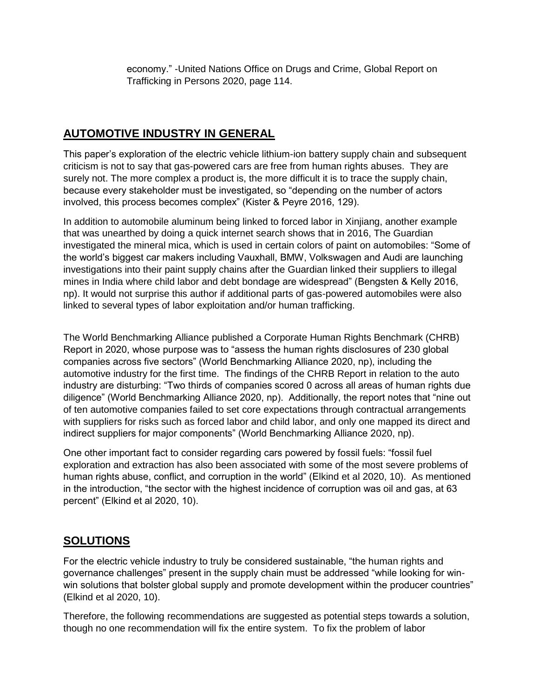economy." -United Nations Office on Drugs and Crime, Global Report on Trafficking in Persons 2020, page 114.

# **AUTOMOTIVE INDUSTRY IN GENERAL**

This paper's exploration of the electric vehicle lithium-ion battery supply chain and subsequent criticism is not to say that gas-powered cars are free from human rights abuses. They are surely not. The more complex a product is, the more difficult it is to trace the supply chain, because every stakeholder must be investigated, so "depending on the number of actors involved, this process becomes complex" (Kister & Peyre 2016, 129).

In addition to automobile aluminum being linked to forced labor in Xinjiang, another example that was unearthed by doing a quick internet search shows that in 2016, The Guardian investigated the mineral mica, which is used in certain colors of paint on automobiles: "Some of the world's biggest car makers including Vauxhall, BMW, Volkswagen and Audi are launching investigations into their paint supply chains after the Guardian linked their suppliers to illegal mines in India where child labor and debt bondage are widespread" (Bengsten & Kelly 2016, np). It would not surprise this author if additional parts of gas-powered automobiles were also linked to several types of labor exploitation and/or human trafficking.

The World Benchmarking Alliance published a Corporate Human Rights Benchmark (CHRB) Report in 2020, whose purpose was to "assess the human rights disclosures of 230 global companies across five sectors" (World Benchmarking Alliance 2020, np), including the automotive industry for the first time. The findings of the CHRB Report in relation to the auto industry are disturbing: "Two thirds of companies scored 0 across all areas of human rights due diligence" (World Benchmarking Alliance 2020, np). Additionally, the report notes that "nine out of ten automotive companies failed to set core expectations through contractual arrangements with suppliers for risks such as forced labor and child labor, and only one mapped its direct and indirect suppliers for major components" (World Benchmarking Alliance 2020, np).

One other important fact to consider regarding cars powered by fossil fuels: "fossil fuel exploration and extraction has also been associated with some of the most severe problems of human rights abuse, conflict, and corruption in the world" (Elkind et al 2020, 10). As mentioned in the introduction, "the sector with the highest incidence of corruption was oil and gas, at 63 percent" (Elkind et al 2020, 10).

# **SOLUTIONS**

For the electric vehicle industry to truly be considered sustainable, "the human rights and governance challenges" present in the supply chain must be addressed "while looking for winwin solutions that bolster global supply and promote development within the producer countries" (Elkind et al 2020, 10).

Therefore, the following recommendations are suggested as potential steps towards a solution, though no one recommendation will fix the entire system. To fix the problem of labor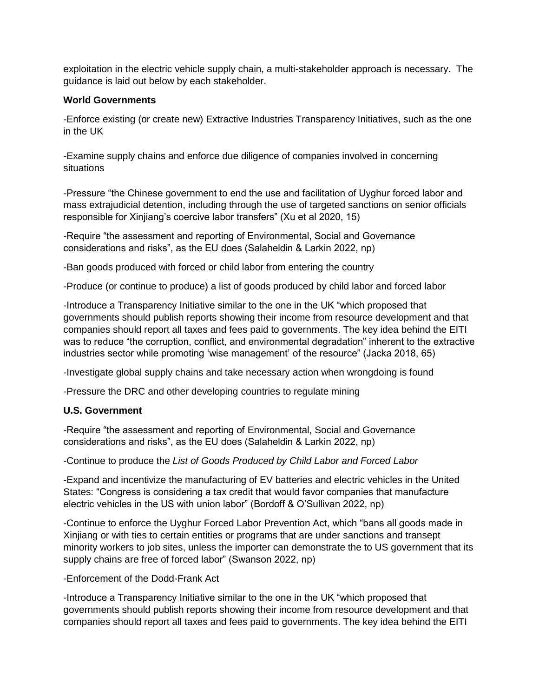exploitation in the electric vehicle supply chain, a multi-stakeholder approach is necessary. The guidance is laid out below by each stakeholder.

#### **World Governments**

-Enforce existing (or create new) Extractive Industries Transparency Initiatives, such as the one in the UK

-Examine supply chains and enforce due diligence of companies involved in concerning situations

-Pressure "the Chinese government to end the use and facilitation of Uyghur forced labor and mass extrajudicial detention, including through the use of targeted sanctions on senior officials responsible for Xinjiang's coercive labor transfers" (Xu et al 2020, 15)

-Require "the assessment and reporting of Environmental, Social and Governance considerations and risks", as the EU does (Salaheldin & Larkin 2022, np)

-Ban goods produced with forced or child labor from entering the country

-Produce (or continue to produce) a list of goods produced by child labor and forced labor

-Introduce a Transparency Initiative similar to the one in the UK "which proposed that governments should publish reports showing their income from resource development and that companies should report all taxes and fees paid to governments. The key idea behind the EITI was to reduce "the corruption, conflict, and environmental degradation" inherent to the extractive industries sector while promoting 'wise management' of the resource" (Jacka 2018, 65)

-Investigate global supply chains and take necessary action when wrongdoing is found

-Pressure the DRC and other developing countries to regulate mining

#### **U.S. Government**

-Require "the assessment and reporting of Environmental, Social and Governance considerations and risks", as the EU does (Salaheldin & Larkin 2022, np)

-Continue to produce the *List of Goods Produced by Child Labor and Forced Labor*

-Expand and incentivize the manufacturing of EV batteries and electric vehicles in the United States: "Congress is considering a tax credit that would favor companies that manufacture electric vehicles in the US with union labor" (Bordoff & O'Sullivan 2022, np)

-Continue to enforce the Uyghur Forced Labor Prevention Act, which "bans all goods made in Xinjiang or with ties to certain entities or programs that are under sanctions and transept minority workers to job sites, unless the importer can demonstrate the to US government that its supply chains are free of forced labor" (Swanson 2022, np)

## -Enforcement of the Dodd-Frank Act

-Introduce a Transparency Initiative similar to the one in the UK "which proposed that governments should publish reports showing their income from resource development and that companies should report all taxes and fees paid to governments. The key idea behind the EITI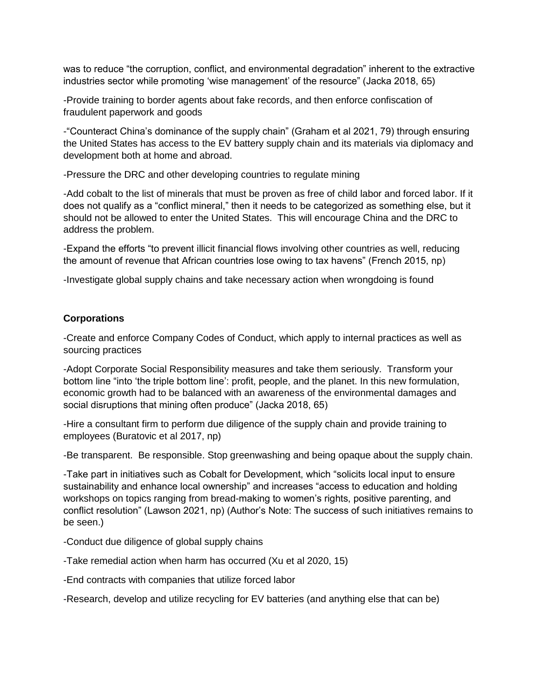was to reduce "the corruption, conflict, and environmental degradation" inherent to the extractive industries sector while promoting 'wise management' of the resource" (Jacka 2018, 65)

-Provide training to border agents about fake records, and then enforce confiscation of fraudulent paperwork and goods

-"Counteract China's dominance of the supply chain" (Graham et al 2021, 79) through ensuring the United States has access to the EV battery supply chain and its materials via diplomacy and development both at home and abroad.

-Pressure the DRC and other developing countries to regulate mining

-Add cobalt to the list of minerals that must be proven as free of child labor and forced labor. If it does not qualify as a "conflict mineral," then it needs to be categorized as something else, but it should not be allowed to enter the United States. This will encourage China and the DRC to address the problem.

-Expand the efforts "to prevent illicit financial flows involving other countries as well, reducing the amount of revenue that African countries lose owing to tax havens" (French 2015, np)

-Investigate global supply chains and take necessary action when wrongdoing is found

#### **Corporations**

-Create and enforce Company Codes of Conduct, which apply to internal practices as well as sourcing practices

-Adopt Corporate Social Responsibility measures and take them seriously. Transform your bottom line "into 'the triple bottom line': profit, people, and the planet. In this new formulation, economic growth had to be balanced with an awareness of the environmental damages and social disruptions that mining often produce" (Jacka 2018, 65)

-Hire a consultant firm to perform due diligence of the supply chain and provide training to employees (Buratovic et al 2017, np)

-Be transparent. Be responsible. Stop greenwashing and being opaque about the supply chain.

-Take part in initiatives such as Cobalt for Development, which "solicits local input to ensure sustainability and enhance local ownership" and increases "access to education and holding workshops on topics ranging from bread-making to women's rights, positive parenting, and conflict resolution" (Lawson 2021, np) (Author's Note: The success of such initiatives remains to be seen.)

-Conduct due diligence of global supply chains

-Take remedial action when harm has occurred (Xu et al 2020, 15)

-End contracts with companies that utilize forced labor

-Research, develop and utilize recycling for EV batteries (and anything else that can be)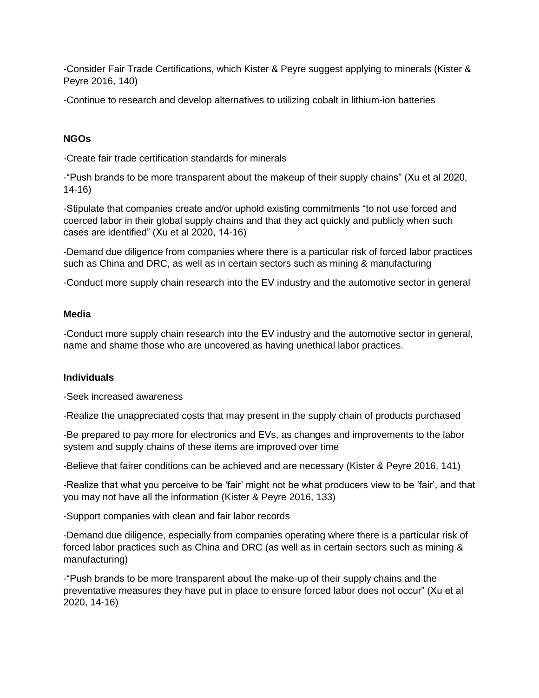-Consider Fair Trade Certifications, which Kister & Peyre suggest applying to minerals (Kister & Peyre 2016, 140)

-Continue to research and develop alternatives to utilizing cobalt in lithium-ion batteries

## **NGOs**

-Create fair trade certification standards for minerals

-"Push brands to be more transparent about the makeup of their supply chains" (Xu et al 2020, 14-16)

-Stipulate that companies create and/or uphold existing commitments "to not use forced and coerced labor in their global supply chains and that they act quickly and publicly when such cases are identified" (Xu et al 2020, 14-16)

-Demand due diligence from companies where there is a particular risk of forced labor practices such as China and DRC, as well as in certain sectors such as mining & manufacturing

-Conduct more supply chain research into the EV industry and the automotive sector in general

#### **Media**

-Conduct more supply chain research into the EV industry and the automotive sector in general, name and shame those who are uncovered as having unethical labor practices.

#### **Individuals**

-Seek increased awareness

-Realize the unappreciated costs that may present in the supply chain of products purchased

-Be prepared to pay more for electronics and EVs, as changes and improvements to the labor system and supply chains of these items are improved over time

-Believe that fairer conditions can be achieved and are necessary (Kister & Peyre 2016, 141)

-Realize that what you perceive to be 'fair' might not be what producers view to be 'fair', and that you may not have all the information (Kister & Peyre 2016, 133)

-Support companies with clean and fair labor records

-Demand due diligence, especially from companies operating where there is a particular risk of forced labor practices such as China and DRC (as well as in certain sectors such as mining & manufacturing)

-"Push brands to be more transparent about the make-up of their supply chains and the preventative measures they have put in place to ensure forced labor does not occur" (Xu et al 2020, 14-16)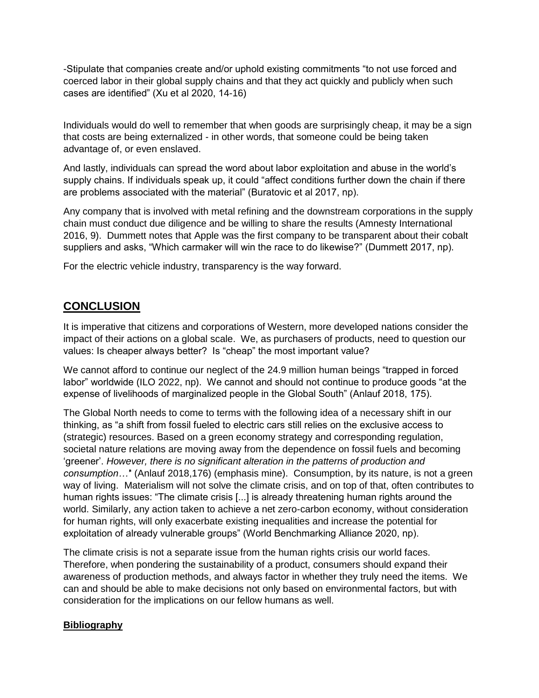-Stipulate that companies create and/or uphold existing commitments "to not use forced and coerced labor in their global supply chains and that they act quickly and publicly when such cases are identified" (Xu et al 2020, 14-16)

Individuals would do well to remember that when goods are surprisingly cheap, it may be a sign that costs are being externalized - in other words, that someone could be being taken advantage of, or even enslaved.

And lastly, individuals can spread the word about labor exploitation and abuse in the world's supply chains. If individuals speak up, it could "affect conditions further down the chain if there are problems associated with the material" (Buratovic et al 2017, np).

Any company that is involved with metal refining and the downstream corporations in the supply chain must conduct due diligence and be willing to share the results (Amnesty International 2016, 9). Dummett notes that Apple was the first company to be transparent about their cobalt suppliers and asks, "Which carmaker will win the race to do likewise?" (Dummett 2017, np).

For the electric vehicle industry, transparency is the way forward.

# **CONCLUSION**

It is imperative that citizens and corporations of Western, more developed nations consider the impact of their actions on a global scale. We, as purchasers of products, need to question our values: Is cheaper always better? Is "cheap" the most important value?

We cannot afford to continue our neglect of the 24.9 million human beings "trapped in forced labor" worldwide (ILO 2022, np). We cannot and should not continue to produce goods "at the expense of livelihoods of marginalized people in the Global South" (Anlauf 2018, 175).

The Global North needs to come to terms with the following idea of a necessary shift in our thinking, as "a shift from fossil fueled to electric cars still relies on the exclusive access to (strategic) resources. Based on a green economy strategy and corresponding regulation, societal nature relations are moving away from the dependence on fossil fuels and becoming 'greener'. *However, there is no significant alteration in the patterns of production and consumption…'*' (Anlauf 2018,176) (emphasis mine). Consumption, by its nature, is not a green way of living. Materialism will not solve the climate crisis, and on top of that, often contributes to human rights issues: "The climate crisis [...] is already threatening human rights around the world. Similarly, any action taken to achieve a net zero-carbon economy, without consideration for human rights, will only exacerbate existing inequalities and increase the potential for exploitation of already vulnerable groups" (World Benchmarking Alliance 2020, np).

The climate crisis is not a separate issue from the human rights crisis our world faces. Therefore, when pondering the sustainability of a product, consumers should expand their awareness of production methods, and always factor in whether they truly need the items. We can and should be able to make decisions not only based on environmental factors, but with consideration for the implications on our fellow humans as well.

#### **Bibliography**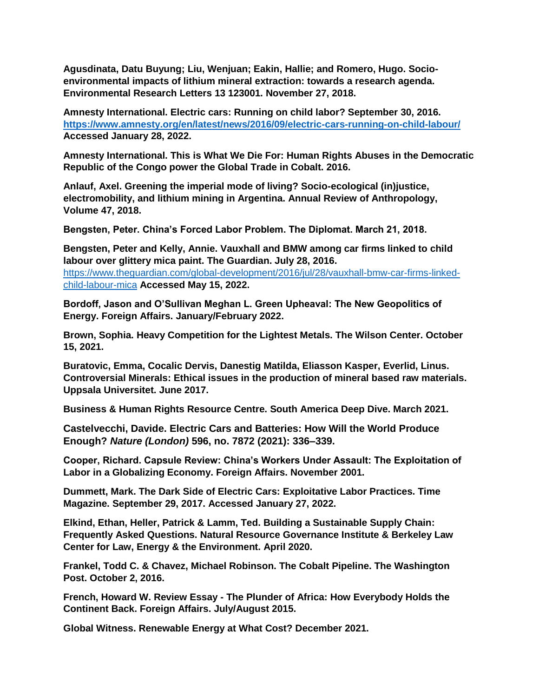**Agusdinata, Datu Buyung; Liu, Wenjuan; Eakin, Hallie; and Romero, Hugo. Socioenvironmental impacts of lithium mineral extraction: towards a research agenda. Environmental Research Letters 13 123001. November 27, 2018.**

**Amnesty International. Electric cars: Running on child labor? September 30, 2016. <https://www.amnesty.org/en/latest/news/2016/09/electric-cars-running-on-child-labour/> Accessed January 28, 2022.**

**Amnesty International. This is What We Die For: Human Rights Abuses in the Democratic Republic of the Congo power the Global Trade in Cobalt. 2016.**

**Anlauf, Axel. Greening the imperial mode of living? Socio-ecological (in)justice, electromobility, and lithium mining in Argentina. Annual Review of Anthropology, Volume 47, 2018.** 

**Bengsten, Peter. China's Forced Labor Problem. The Diplomat. March 21, 2018.** 

**Bengsten, Peter and Kelly, Annie. Vauxhall and BMW among car firms linked to child labour over glittery mica paint. The Guardian. July 28, 2016.**  [https://www.theguardian.com/global-development/2016/jul/28/vauxhall-bmw-car-firms-linked](https://www.theguardian.com/global-development/2016/jul/28/vauxhall-bmw-car-firms-linked-child-labour-mica)[child-labour-mica](https://www.theguardian.com/global-development/2016/jul/28/vauxhall-bmw-car-firms-linked-child-labour-mica) **Accessed May 15, 2022.**

**Bordoff, Jason and O'Sullivan Meghan L. Green Upheaval: The New Geopolitics of Energy. Foreign Affairs. January/February 2022.** 

**Brown, Sophia. Heavy Competition for the Lightest Metals. The Wilson Center. October 15, 2021.**

**Buratovic, Emma, Cocalic Dervis, Danestig Matilda, Eliasson Kasper, Everlid, Linus. Controversial Minerals: Ethical issues in the production of mineral based raw materials. Uppsala Universitet. June 2017.**

**Business & Human Rights Resource Centre. South America Deep Dive. March 2021.** 

**Castelvecchi, Davide. Electric Cars and Batteries: How Will the World Produce Enough?** *Nature (London)* **596, no. 7872 (2021): 336–339.**

**Cooper, Richard. Capsule Review: China's Workers Under Assault: The Exploitation of Labor in a Globalizing Economy. Foreign Affairs. November 2001.** 

**Dummett, Mark. The Dark Side of Electric Cars: Exploitative Labor Practices. Time Magazine. September 29, 2017. Accessed January 27, 2022.**

**Elkind, Ethan, Heller, Patrick & Lamm, Ted. Building a Sustainable Supply Chain: Frequently Asked Questions. Natural Resource Governance Institute & Berkeley Law Center for Law, Energy & the Environment. April 2020.** 

**Frankel, Todd C. & Chavez, Michael Robinson. The Cobalt Pipeline. The Washington Post. October 2, 2016.** 

**French, Howard W. Review Essay - The Plunder of Africa: How Everybody Holds the Continent Back. Foreign Affairs. July/August 2015.**

**Global Witness. Renewable Energy at What Cost? December 2021.**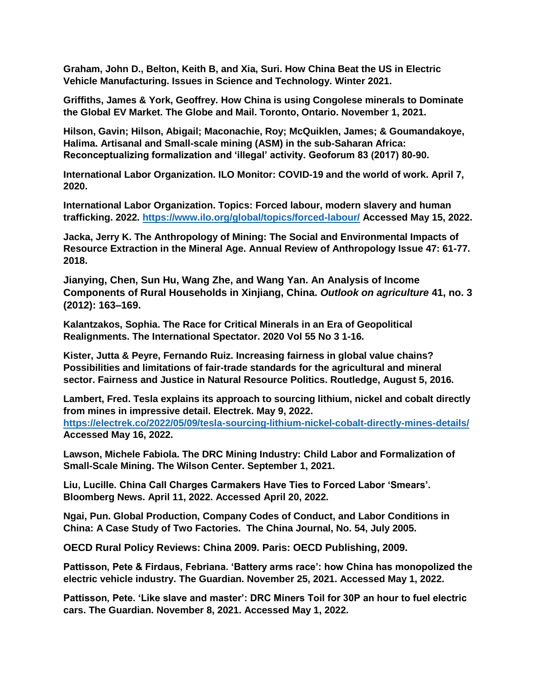**Graham, John D., Belton, Keith B, and Xia, Suri. How China Beat the US in Electric Vehicle Manufacturing. Issues in Science and Technology. Winter 2021.**

**Griffiths, James & York, Geoffrey. How China is using Congolese minerals to Dominate the Global EV Market. The Globe and Mail. Toronto, Ontario. November 1, 2021.** 

**Hilson, Gavin; Hilson, Abigail; Maconachie, Roy; McQuiklen, James; & Goumandakoye, Halima. Artisanal and Small-scale mining (ASM) in the sub-Saharan Africa: Reconceptualizing formalization and 'illegal' activity. Geoforum 83 (2017) 80-90.**

**International Labor Organization. ILO Monitor: COVID-19 and the world of work. April 7, 2020.**

**International Labor Organization. Topics: Forced labour, modern slavery and human trafficking. 2022.<https://www.ilo.org/global/topics/forced-labour/> Accessed May 15, 2022.**

**Jacka, Jerry K. The Anthropology of Mining: The Social and Environmental Impacts of Resource Extraction in the Mineral Age. Annual Review of Anthropology Issue 47: 61-77. 2018.**

**Jianying, Chen, Sun Hu, Wang Zhe, and Wang Yan. An Analysis of Income Components of Rural Households in Xinjiang, China.** *Outlook on agriculture* **41, no. 3 (2012): 163–169.**

**Kalantzakos, Sophia. The Race for Critical Minerals in an Era of Geopolitical Realignments. The International Spectator. 2020 Vol 55 No 3 1-16.** 

**Kister, Jutta & Peyre, Fernando Ruiz. Increasing fairness in global value chains? Possibilities and limitations of fair-trade standards for the agricultural and mineral sector. Fairness and Justice in Natural Resource Politics. Routledge, August 5, 2016.**

**Lambert, Fred. Tesla explains its approach to sourcing lithium, nickel and cobalt directly from mines in impressive detail. Electrek. May 9, 2022. <https://electrek.co/2022/05/09/tesla-sourcing-lithium-nickel-cobalt-directly-mines-details/> Accessed May 16, 2022.** 

**Lawson, Michele Fabiola. The DRC Mining Industry: Child Labor and Formalization of Small-Scale Mining. The Wilson Center. September 1, 2021.**

**Liu, Lucille. China Call Charges Carmakers Have Ties to Forced Labor 'Smears'. Bloomberg News. April 11, 2022. Accessed April 20, 2022.**

**Ngai, Pun. Global Production, Company Codes of Conduct, and Labor Conditions in China: A Case Study of Two Factories. The China Journal, No. 54, July 2005.** 

**OECD Rural Policy Reviews: China 2009. Paris: OECD Publishing, 2009.**

**Pattisson, Pete & Firdaus, Febriana. 'Battery arms race': how China has monopolized the electric vehicle industry. The Guardian. November 25, 2021. Accessed May 1, 2022.**

**Pattisson, Pete. 'Like slave and master': DRC Miners Toil for 30P an hour to fuel electric cars. The Guardian. November 8, 2021. Accessed May 1, 2022.**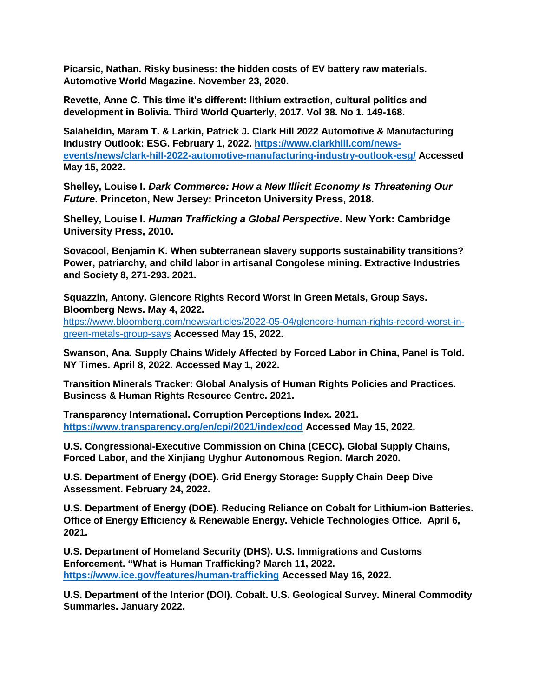**Picarsic, Nathan. Risky business: the hidden costs of EV battery raw materials. Automotive World Magazine. November 23, 2020.** 

**Revette, Anne C. This time it's different: lithium extraction, cultural politics and development in Bolivia. Third World Quarterly, 2017. Vol 38. No 1. 149-168.**

**Salaheldin, Maram T. & Larkin, Patrick J. Clark Hill 2022 Automotive & Manufacturing Industry Outlook: ESG. February 1, 2022. [https://www.clarkhill.com/news](https://www.clarkhill.com/news-events/news/clark-hill-2022-automotive-manufacturing-industry-outlook-esg/)[events/news/clark-hill-2022-automotive-manufacturing-industry-outlook-esg/](https://www.clarkhill.com/news-events/news/clark-hill-2022-automotive-manufacturing-industry-outlook-esg/) Accessed May 15, 2022.**

**Shelley, Louise I.** *Dark Commerce: How a New Illicit Economy Is Threatening Our Future***. Princeton, New Jersey: Princeton University Press, 2018.**

**Shelley, Louise I.** *Human Trafficking a Global Perspective***. New York: Cambridge University Press, 2010.**

**Sovacool, Benjamin K. When subterranean slavery supports sustainability transitions? Power, patriarchy, and child labor in artisanal Congolese mining. Extractive Industries and Society 8, 271-293. 2021.**

**Squazzin, Antony. Glencore Rights Record Worst in Green Metals, Group Says. Bloomberg News. May 4, 2022.**

[https://www.bloomberg.com/news/articles/2022-05-04/glencore-human-rights-record-worst-in](https://www.bloomberg.com/news/articles/2022-05-04/glencore-human-rights-record-worst-in-green-metals-group-says)[green-metals-group-says](https://www.bloomberg.com/news/articles/2022-05-04/glencore-human-rights-record-worst-in-green-metals-group-says) **Accessed May 15, 2022.**

**Swanson, Ana. Supply Chains Widely Affected by Forced Labor in China, Panel is Told. NY Times. April 8, 2022. Accessed May 1, 2022.**

**Transition Minerals Tracker: Global Analysis of Human Rights Policies and Practices. Business & Human Rights Resource Centre. 2021.**

**Transparency International. Corruption Perceptions Index. 2021. <https://www.transparency.org/en/cpi/2021/index/cod> Accessed May 15, 2022.**

**U.S. Congressional-Executive Commission on China (CECC). Global Supply Chains, Forced Labor, and the Xinjiang Uyghur Autonomous Region. March 2020.**

**U.S. Department of Energy (DOE). Grid Energy Storage: Supply Chain Deep Dive Assessment. February 24, 2022.**

**U.S. Department of Energy (DOE). Reducing Reliance on Cobalt for Lithium-ion Batteries. Office of Energy Efficiency & Renewable Energy. Vehicle Technologies Office. April 6, 2021.**

**U.S. Department of Homeland Security (DHS). U.S. Immigrations and Customs Enforcement. "What is Human Trafficking? March 11, 2022. <https://www.ice.gov/features/human-trafficking> Accessed May 16, 2022.**

**U.S. Department of the Interior (DOI). Cobalt. U.S. Geological Survey. Mineral Commodity Summaries. January 2022.**